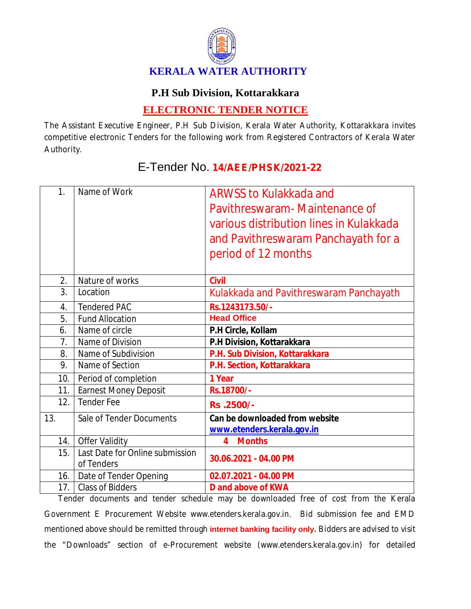

## **P.H Sub Division, Kottarakkara**

## **ELECTRONIC TENDER NOTICE**

The Assistant Executive Engineer, P.H Sub Division, Kerala Water Authority, Kottarakkara invites competitive electronic Tenders for the following work from Registered Contractors of Kerala Water Authority.

| 1 <sub>1</sub>   | Name of Work                                  | <b>ARWSS to Kulakkada and</b><br>Pavithreswaram - Maintenance of<br>various distribution lines in Kulakkada<br>and Pavithreswaram Panchayath for a<br>period of 12 months |
|------------------|-----------------------------------------------|---------------------------------------------------------------------------------------------------------------------------------------------------------------------------|
| $\overline{2}$ . | Nature of works                               | <b>Civil</b>                                                                                                                                                              |
| 3.               | Location                                      | Kulakkada and Pavithreswaram Panchayath                                                                                                                                   |
| 4.               | <b>Tendered PAC</b>                           | Rs.1243173.50/-                                                                                                                                                           |
| 5.               | <b>Fund Allocation</b>                        | <b>Head Office</b>                                                                                                                                                        |
| 6.               | Name of circle                                | P.H Circle, Kollam                                                                                                                                                        |
| 7.               | Name of Division                              | P.H Division, Kottarakkara                                                                                                                                                |
| 8.               | Name of Subdivision                           | P.H. Sub Division, Kottarakkara                                                                                                                                           |
| 9.               | Name of Section                               | P.H. Section, Kottarakkara                                                                                                                                                |
| 10.1             | Period of completion                          | 1 Year                                                                                                                                                                    |
| 11.              | <b>Earnest Money Deposit</b>                  | Rs.18700/-                                                                                                                                                                |
| 12.              | <b>Tender Fee</b>                             | Rs.2500/-                                                                                                                                                                 |
| 13.              | Sale of Tender Documents                      | Can be downloaded from website<br>www.etenders.kerala.gov.in                                                                                                              |
| 14.              | <b>Offer Validity</b>                         | <b>Months</b><br>4                                                                                                                                                        |
| 15.              | Last Date for Online submission<br>of Tenders | 30.06.2021 - 04.00 PM                                                                                                                                                     |
| 16.              | Date of Tender Opening                        | 02.07.2021 - 04.00 PM                                                                                                                                                     |
| 17.              | <b>Class of Bidders</b><br>مملد مرداد مرد     | <b>D</b> and above of KWA<br>ante and tomological device in the development of an of from the Konstantino                                                                 |

## E-Tender No. **14/AEE/PHSK/2021-22**

Tender documents and tender schedule may be downloaded free of cost from the Kerala Government E Procurement Website www.etenders.kerala.gov.in. Bid submission fee and EMD mentioned above should be remitted through **internet banking facility only.** Bidders are advised to visit the "Downloads" section of e-Procurement website (www.etenders.kerala.gov.in) for detailed